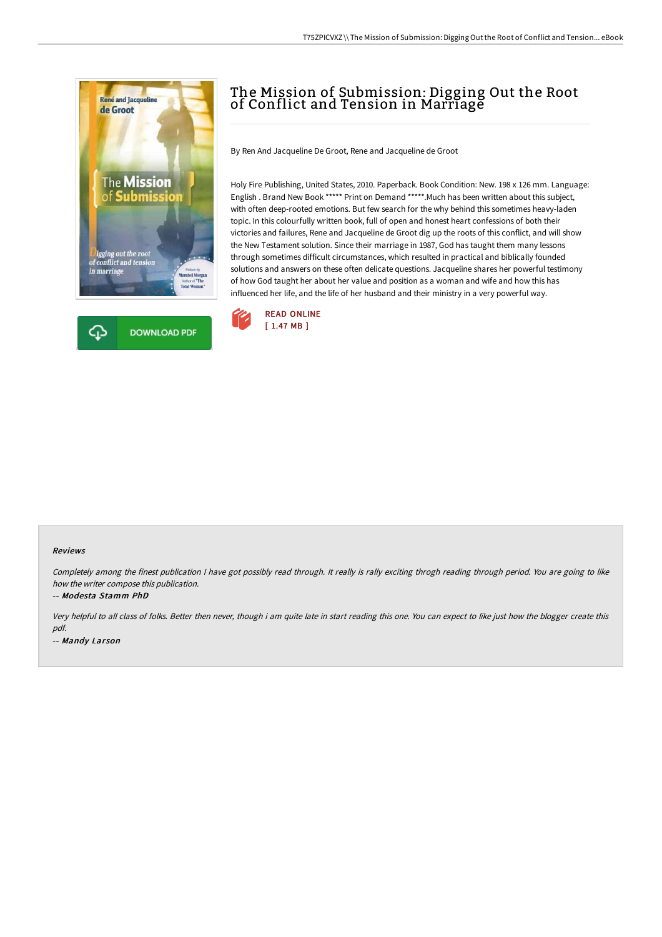



# The Mission of Submission: Digging Out the Root of Conflict and Tension in Marriage

By Ren And Jacqueline De Groot, Rene and Jacqueline de Groot

Holy Fire Publishing, United States, 2010. Paperback. Book Condition: New. 198 x 126 mm. Language: English . Brand New Book \*\*\*\*\* Print on Demand \*\*\*\*\*.Much has been written about this subject, with often deep-rooted emotions. But few search for the why behind this sometimes heavy-laden topic. In this colourfully written book, full of open and honest heart confessions of both their victories and failures, Rene and Jacqueline de Groot dig up the roots of this conflict, and will show the New Testament solution. Since their marriage in 1987, God has taught them many lessons through sometimes difficult circumstances, which resulted in practical and biblically founded solutions and answers on these often delicate questions. Jacqueline shares her powerful testimony of how God taught her about her value and position as a woman and wife and how this has influenced her life, and the life of her husband and their ministry in a very powerful way.



#### Reviews

Completely among the finest publication I have got possibly read through. It really is rally exciting throgh reading through period. You are going to like how the writer compose this publication.

-- Modesta Stamm PhD

Very helpful to all class of folks. Better then never, though i am quite late in start reading this one. You can expect to like just how the blogger create this pdf.

-- Mandy Larson